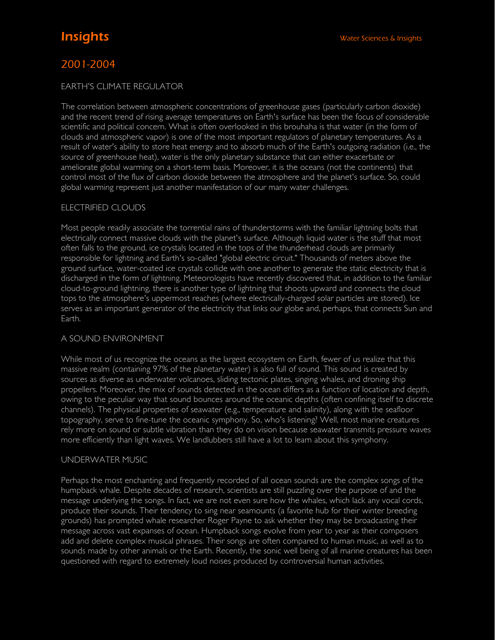# 2001-2004

# **FARTH'S CLIMATE REGULATOR**

The correlation between atmospheric concentrations of greenhouse gases (particularly carbon dioxide) and the recent trend of rising average temperatures on Earth's surface has been the focus of considerable scientific and political concern. What is often overlooked in this brouhaha is that water (in the form of clouds and atmospheric vapor) is one of the most important regulators of planetary temperatures. As a result of water's ability to store heat energy and to absorb much of the Earth's outgoing radiation (i.e., the source of greenhouse heat), water is the only planetary substance that can either exacerbate or ameliorate global warming on a short-term basis. Moreover, it is the oceans (not the continents) that control most of the flux of carbon dioxide between the atmosphere and the planet's surface. So, could global warming represent just another manifestation of our many water challenges.

# ELECTRIFIED CLOUDS

Most people readily associate the torrential rains of thunderstorms with the familiar lightning bolts that electrically connect massive clouds with the planet's surface. Although liquid water is the stuff that most often falls to the ground, ice crystals located in the tops of the thunderhead clouds are primarily responsible for lightning and Earth's so-called "global electric circuit." Thousands of meters above the ground surface, water-coated ice crystals collide with one another to generate the static electricity that is discharged in the form of lightning. Meteorologists have recently discovered that, in addition to the familiar cloud-to-ground lightning, there is another type of lightning that shoots upward and connects the cloud tops to the atmosphere's uppermost reaches (where electrically-charged solar particles are stored). Ice serves as an important generator of the electricity that links our globe and, perhaps, that connects Sun and Earth.

# A SOUND ENVIRONMENT

While most of us recognize the oceans as the largest ecosystem on Earth, fewer of us realize that this massive realm (containing 97% of the planetary water) is also full of sound. This sound is created by sources as diverse as underwater volcanoes, sliding tectonic plates, singing whales, and droning ship propellers. Moreover, the mix of sounds detected in the ocean differs as a function of location and depth, owing to the peculiar way that sound bounces around the oceanic depths (often confining itself to discrete channels). The physical properties of seawater (e.g., temperature and salinity), along with the seafloor topography, serve to fine-tune the oceanic symphony. So, who's listening? Well, most marine creatures rely more on sound or subtle vibration than they do on vision because seawater transmits pressure waves more efficiently than light waves. We landlubbers still have a lot to learn about this symphony.

# UNDERWATER MUSIC

Perhaps the most enchanting and frequently recorded of all ocean sounds are the complex songs of the humpback whale. Despite decades of research, scientists are still puzzling over the purpose of and the message underlying the songs. In fact, we are not even sure how the whales, which lack any vocal cords, produce their sounds. Their tendency to sing near seamounts (a favorite hub for their winter breeding grounds) has prompted whale researcher Roger Payne to ask whether they may be broadcasting their message across vast expanses of ocean. Humpback songs evolve from year to year as their composers add and delete complex musical phrases. Their songs are often compared to human music, as well as to sounds made by other animals or the Earth. Recently, the sonic well being of all marine creatures has been questioned with regard to extremely loud noises produced by controversial human activities.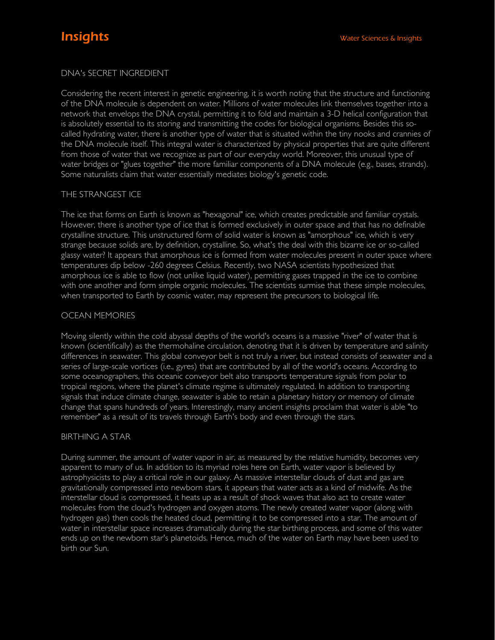# DNA's SECRET INGREDIENT

Considering the recent interest in genetic engineering, it is worth noting that the structure and functioning of the DNA molecule is dependent on water. Millions of water molecules link themselves together into a network that envelops the DNA crystal, permitting it to fold and maintain a 3-D helical configuration that is absolutely essential to its storing and transmitting the codes for biological organisms. Besides this socalled hydrating water, there is another type of water that is situated within the tiny nooks and crannies of the DNA molecule itself. This integral water is characterized by physical properties that are quite different from those of water that we recognize as part of our everyday world. Moreover, this unusual type of water bridges or "glues together" the more familiar components of a DNA molecule (e.g., bases, strands). Some naturalists claim that water essentially mediates biology's genetic code.

# THE STRANGEST ICE

The ice that forms on Earth is known as "hexagonal" ice, which creates predictable and familiar crystals. However, there is another type of ice that is formed exclusively in outer space and that has no definable crystalline structure. This unstructured form of solid water is known as "amorphous" ice, which is very strange because solids are, by definition, crystalline. So, what's the deal with this bizarre ice or so-called glassy water? It appears that amorphous ice is formed from water molecules present in outer space where temperatures dip below -260 degrees Celsius. Recently, two NASA scientists hypothesized that amorphous ice is able to flow (not unlike liquid water), permitting gases trapped in the ice to combine with one another and form simple organic molecules. The scientists surmise that these simple molecules, when transported to Earth by cosmic water, may represent the precursors to biological life.

# OCEAN MEMORIES

Moving silently within the cold abyssal depths of the world's oceans is a massive "river" of water that is known (scientifically) as the thermohaline circulation, denoting that it is driven by temperature and salinity differences in seawater. This global conveyor belt is not truly a river, but instead consists of seawater and a series of large-scale vortices (i.e., gyres) that are contributed by all of the world's oceans. According to some oceanographers, this oceanic conveyor belt also transports temperature signals from polar to tropical regions, where the planet's climate regime is ultimately regulated. In addition to transporting signals that induce climate change, seawater is able to retain a planetary history or memory of climate change that spans hundreds of years. Interestingly, many ancient insights proclaim that water is able "to remember" as a result of its travels through Earth's body and even through the stars.

# BIRTHING A STAR

During summer, the amount of water vapor in air, as measured by the relative humidity, becomes very apparent to many of us. In addition to its myriad roles here on Earth, water vapor is believed by astrophysicists to play a critical role in our galaxy. As massive interstellar clouds of dust and gas are gravitationally compressed into newborn stars, it appears that water acts as a kind of midwife. As the interstellar cloud is compressed, it heats up as a result of shock waves that also act to create water molecules from the cloud's hydrogen and oxygen atoms. The newly created water vapor (along with hydrogen gas) then cools the heated cloud, permitting it to be compressed into a star. The amount of water in interstellar space increases dramatically during the star birthing process, and some of this water ends up on the newborn star's planetoids. Hence, much of the water on Earth may have been used to birth our Sun.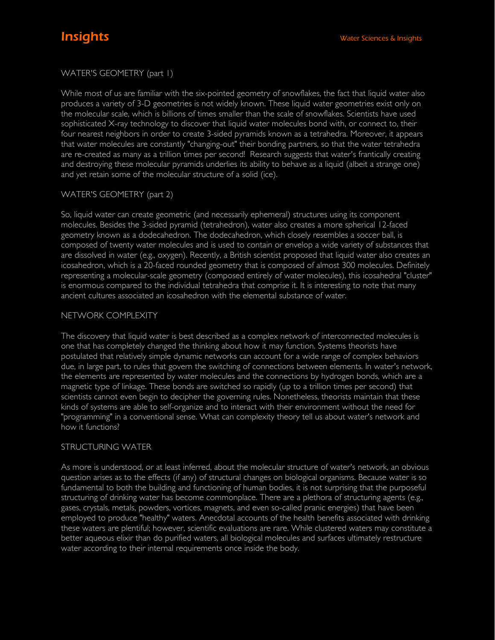# WATER'S GEOMETRY (part 1)

While most of us are familiar with the six-pointed geometry of snowflakes, the fact that liquid water also produces a variety of 3-D geometries is not widely known. These liquid water geometries exist only on the molecular scale, which is billions of times smaller than the scale of snowflakes. Scientists have used sophisticated X-ray technology to discover that liquid water molecules bond with, or connect to, their four nearest neighbors in order to create 3-sided pyramids known as a tetrahedra. Moreover, it appears that water molecules are constantly "changing-out" their bonding partners, so that the water tetrahedra are re-created as many as a trillion times per second! Research suggests that water's frantically creating and destroying these molecular pyramids underlies its ability to behave as a liquid (albeit a strange one) and yet retain some of the molecular structure of a solid (ice).

# WATER'S GEOMETRY (part 2)

So, liquid water can create geometric (and necessarily ephemeral) structures using its component molecules. Besides the 3-sided pyramid (tetrahedron), water also creates a more spherical 12-faced geometry known as a dodecahedron. The dodecahedron, which closely resembles a soccer ball, is composed of twenty water molecules and is used to contain or envelop a wide variety of substances that are dissolved in water (e.g., oxygen). Recently, a British scientist proposed that liquid water also creates an icosahedron, which is a 20-faced rounded geometry that is composed of almost 300 molecules. Definitely representing a molecular-scale geometry (composed entirely of water molecules), this icosahedral "cluster" is enormous compared to the individual tetrahedra that comprise it. It is interesting to note that many ancient cultures associated an icosahedron with the elemental substance of water.

# NETWORK COMPLEXITY

The discovery that liquid water is best described as a complex network of interconnected molecules is one that has completely changed the thinking about how it may function. Systems theorists have postulated that relatively simple dynamic networks can account for a wide range of complex behaviors due, in large part, to rules that govern the switching of connections between elements. In water's network, the elements are represented by water molecules and the connections by hydrogen bonds, which are a magnetic type of linkage. These bonds are switched so rapidly (up to a trillion times per second) that scientists cannot even begin to decipher the governing rules. Nonetheless, theorists maintain that these kinds of systems are able to self-organize and to interact with their environment without the need for "programming" in a conventional sense. What can complexity theory tell us about water's network and how it functions?

# STRUCTURING WATER

As more is understood, or at least inferred, about the molecular structure of water's network, an obvious question arises as to the effects (if any) of structural changes on biological organisms. Because water is so fundamental to both the building and functioning of human bodies, it is not surprising that the purposeful structuring of drinking water has become commonplace. There are a plethora of structuring agents (e.g., gases, crystals, metals, powders, vortices, magnets, and even so-called pranic energies) that have been employed to produce "healthy" waters. Anecdotal accounts of the health benefits associated with drinking these waters are plentiful; however, scientific evaluations are rare. While clustered waters may constitute a better aqueous elixir than do purified waters, all biological molecules and surfaces ultimately restructure water according to their internal requirements once inside the body.